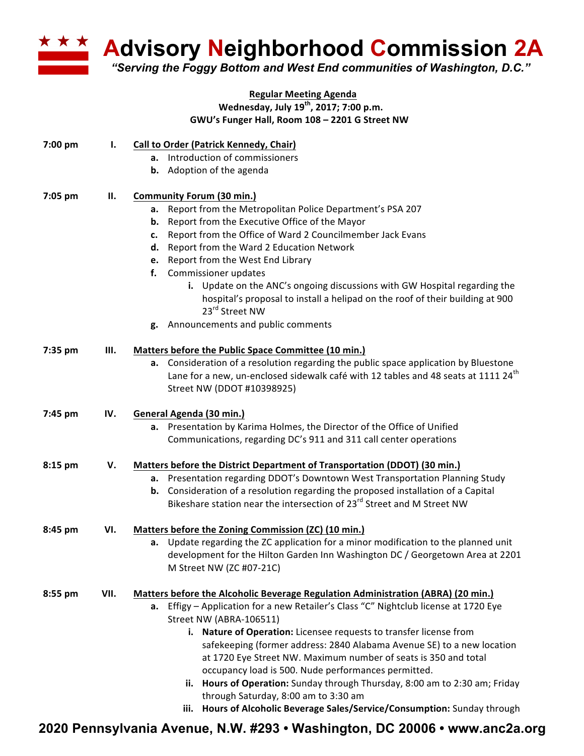

**Advisory Neighborhood Commission 2A**

*"Serving the Foggy Bottom and West End communities of Washington, D.C."*

## **Regular Meeting Agenda Wednesday, July 19th, 2017; 7:00 p.m. GWU's Funger Hall, Room 108 – 2201 G Street NW**

| 7:00 pm | Ι.   | <b>Call to Order (Patrick Kennedy, Chair)</b><br><b>a.</b> Introduction of commissioners<br><b>b.</b> Adoption of the agenda                                                                                                                                                                                                                                                                                                                                                                                                                                                                                                                                                          |
|---------|------|---------------------------------------------------------------------------------------------------------------------------------------------------------------------------------------------------------------------------------------------------------------------------------------------------------------------------------------------------------------------------------------------------------------------------------------------------------------------------------------------------------------------------------------------------------------------------------------------------------------------------------------------------------------------------------------|
| 7:05 pm | II.  | <b>Community Forum (30 min.)</b><br>Report from the Metropolitan Police Department's PSA 207<br>а.<br><b>b.</b> Report from the Executive Office of the Mayor<br>Report from the Office of Ward 2 Councilmember Jack Evans<br>c.<br>Report from the Ward 2 Education Network<br>d.<br>Report from the West End Library<br>e.<br>Commissioner updates<br>f.<br>i. Update on the ANC's ongoing discussions with GW Hospital regarding the<br>hospital's proposal to install a helipad on the roof of their building at 900<br>23 <sup>rd</sup> Street NW<br>g. Announcements and public comments                                                                                        |
| 7:35 pm | Ш.   | Matters before the Public Space Committee (10 min.)<br>a. Consideration of a resolution regarding the public space application by Bluestone<br>Lane for a new, un-enclosed sidewalk café with 12 tables and 48 seats at 1111 24 <sup>th</sup><br>Street NW (DDOT #10398925)                                                                                                                                                                                                                                                                                                                                                                                                           |
| 7:45 pm | IV.  | General Agenda (30 min.)<br>a. Presentation by Karima Holmes, the Director of the Office of Unified<br>Communications, regarding DC's 911 and 311 call center operations                                                                                                                                                                                                                                                                                                                                                                                                                                                                                                              |
| 8:15 pm | V.   | Matters before the District Department of Transportation (DDOT) (30 min.)<br>a. Presentation regarding DDOT's Downtown West Transportation Planning Study<br>Consideration of a resolution regarding the proposed installation of a Capital<br>b.<br>Bikeshare station near the intersection of 23 <sup>rd</sup> Street and M Street NW                                                                                                                                                                                                                                                                                                                                               |
| 8:45 pm | VI.  | Matters before the Zoning Commission (ZC) (10 min.)<br>Update regarding the ZC application for a minor modification to the planned unit<br>а.<br>development for the Hilton Garden Inn Washington DC / Georgetown Area at 2201<br>M Street NW (ZC #07-21C)                                                                                                                                                                                                                                                                                                                                                                                                                            |
| 8:55 pm | VII. | Matters before the Alcoholic Beverage Regulation Administration (ABRA) (20 min.)<br>a. Effigy - Application for a new Retailer's Class "C" Nightclub license at 1720 Eye<br>Street NW (ABRA-106511)<br>i. Nature of Operation: Licensee requests to transfer license from<br>safekeeping (former address: 2840 Alabama Avenue SE) to a new location<br>at 1720 Eye Street NW. Maximum number of seats is 350 and total<br>occupancy load is 500. Nude performances permitted.<br>ii. Hours of Operation: Sunday through Thursday, 8:00 am to 2:30 am; Friday<br>through Saturday, 8:00 am to 3:30 am<br>Hours of Alcoholic Beverage Sales/Service/Consumption: Sunday through<br>iii. |

**2020 Pennsylvania Avenue, N.W. #293 • Washington, DC 20006 • www.anc2a.org**